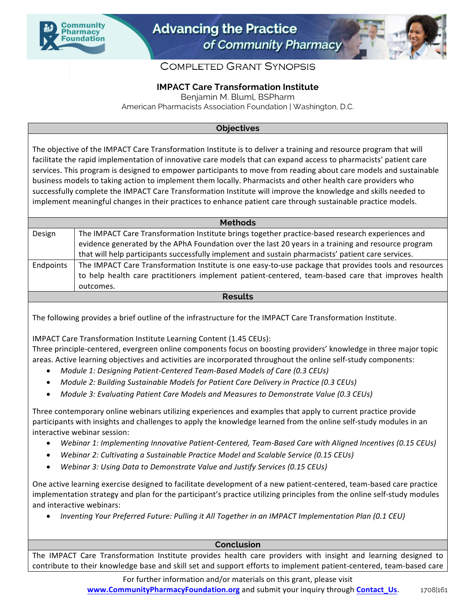



## **COMPLETED GRANT SYNOPSIS**

## **IMPACT Care Transformation Institute**

Benjamin M. Bluml, BSPharm

American Pharmacists Association Foundation | Washington, D.C.

## **Objectives**

The objective of the IMPACT Care Transformation Institute is to deliver a training and resource program that will facilitate the rapid implementation of innovative care models that can expand access to pharmacists' patient care services. This program is designed to empower participants to move from reading about care models and sustainable business models to taking action to implement them locally. Pharmacists and other health care providers who successfully complete the IMPACT Care Transformation Institute will improve the knowledge and skills needed to implement meaningful changes in their practices to enhance patient care through sustainable practice models.

| <b>Methods</b> |                                                                                                       |
|----------------|-------------------------------------------------------------------------------------------------------|
| Design         | The IMPACT Care Transformation Institute brings together practice-based research experiences and      |
|                | evidence generated by the APhA Foundation over the last 20 years in a training and resource program   |
|                | that will help participants successfully implement and sustain pharmacists' patient care services.    |
| Endpoints      | The IMPACT Care Transformation Institute is one easy-to-use package that provides tools and resources |
|                | to help health care practitioners implement patient-centered, team-based care that improves health    |
|                | outcomes.                                                                                             |
| <b>Results</b> |                                                                                                       |

The following provides a brief outline of the infrastructure for the IMPACT Care Transformation Institute.

IMPACT Care Transformation Institute Learning Content (1.45 CEUs):

Three principle-centered, evergreen online components focus on boosting providers' knowledge in three major topic areas. Active learning objectives and activities are incorporated throughout the online self-study components:

- *Module 1: Designing Patient-Centered Team-Based Models of Care (0.3 CEUs)*
- Module 2: Building Sustainable Models for Patient Care Delivery in Practice (0.3 CEUs)
- *Module 3: Evaluating Patient Care Models and Measures to Demonstrate Value (0.3 CEUs)*

Three contemporary online webinars utilizing experiences and examples that apply to current practice provide participants with insights and challenges to apply the knowledge learned from the online self-study modules in an interactive webinar session:

- *Webinar 1: Implementing Innovative Patient-Centered, Team-Based Care with Aligned Incentives (0.15 CEUs)*
- *Webinar 2: Cultivating a Sustainable Practice Model and Scalable Service (0.15 CEUs)*
- *Webinar 3: Using Data to Demonstrate Value and Justify Services (0.15 CEUs)*

One active learning exercise designed to facilitate development of a new patient-centered, team-based care practice implementation strategy and plan for the participant's practice utilizing principles from the online self-study modules and interactive webinars:

• *Inventing Your Preferred Future: Pulling it All Together in an IMPACT Implementation Plan (0.1 CEU)*

## **Conclusion**

The IMPACT Care Transformation Institute provides health care providers with insight and learning designed to contribute to their knowledge base and skill set and support efforts to implement patient-centered, team-based care

> For further information and/or materials on this grant, please visit **www.CommunityPharmacyFoundation.org** and submit your inquiry through **Contact\_Us**. 1708|161